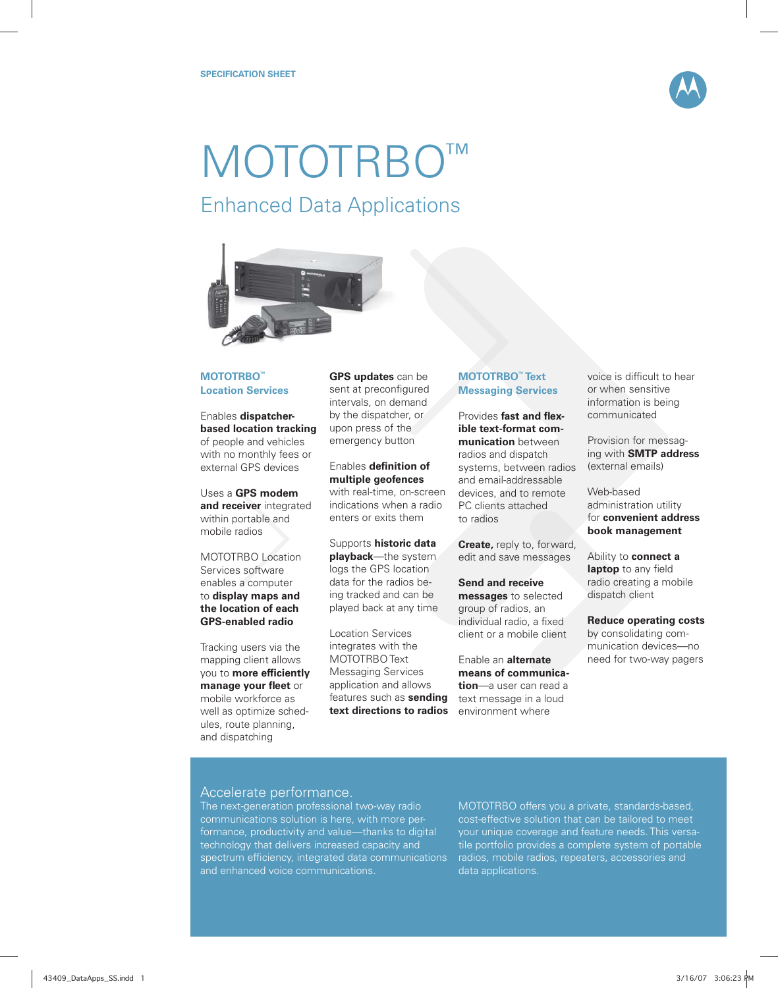

# **MOTOTRBO** Enhanced Data Applications



## **MOTOTRBO™ Location Services**

Enables **dispatcherbased location tracking**  of people and vehicles with no monthly fees or external GPS devices

Uses a **GPS modem and receiver** integrated within portable and mobile radios

MOTOTRBO Location Services software enables a computer to **display maps and the location of each GPS-enabled radio**

Tracking users via the mapping client allows you to **more efficiently manage your fleet** or mobile workforce as well as optimize schedules, route planning, and dispatching

**GPS updates** can be sent at preconfigured intervals, on demand by the dispatcher, or upon press of the emergency button

#### Enables **definition** of **multiple geofences**

with real-time, on-screen indications when a radio enters or exits them

Supports **historic data playback**—the system logs the GPS location data for the radios being tracked and can be played back at any time

Location Services integrates with the MOTOTRBO Text Messaging Services application and allows features such as **sending text directions to radios**

## **MOTOTRBO™ Text Messaging Services**

Provides **fast and flexible text-format communication** between radios and dispatch systems, between radios and email-addressable devices, and to remote PC clients attached to radios

**Create,** reply to, forward, edit and save messages

**Send and receive messages** to selected group of radios, an individual radio, a fixed client or a mobile client

Enable an **alternate means of communication**—a user can read a text message in a loud environment where

voice is difficult to hear or when sensitive information is being communicated

Provision for messaging with **SMTP address** (external emails)

Web-based administration utility for **convenient address book management**

Ability to **connect a**  laptop to any field radio creating a mobile dispatch client

**Reduce operating costs** by consolidating communication devices—no need for two-way pagers

# Accelerate performance.

The next-generation professional two-way radio communications solution is here, with more performance, productivity and value—thanks to digital technology that delivers increased capacity and spectrum efficiency, integrated data communications and enhanced voice communications.

MOTOTRBO offers you a private, standards-based, cost-effective solution that can be tailored to meet your unique coverage and feature needs. This versatile portfolio provides a complete system of portable radios, mobile radios, repeaters, accessories and data applications.